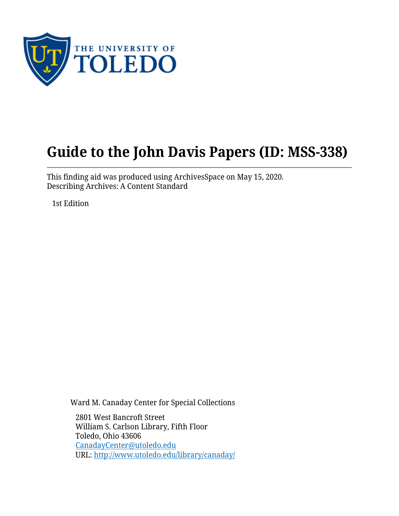

# **Guide to the John Davis Papers (ID: MSS-338)**

This finding aid was produced using ArchivesSpace on May 15, 2020. Describing Archives: A Content Standard

1st Edition

Ward M. Canaday Center for Special Collections

2801 West Bancroft Street William S. Carlson Library, Fifth Floor Toledo, Ohio 43606 [CanadayCenter@utoledo.edu](mailto:CanadayCenter@utoledo.edu) URL:<http://www.utoledo.edu/library/canaday/>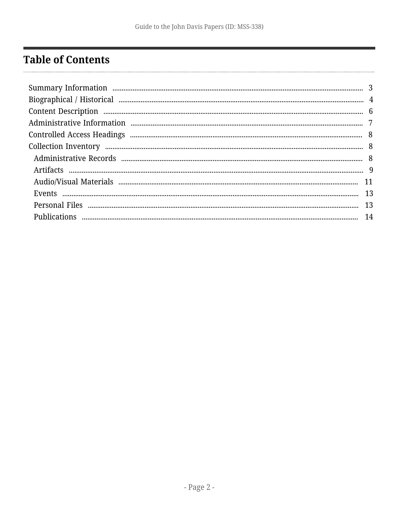# <span id="page-1-0"></span>**Table of Contents**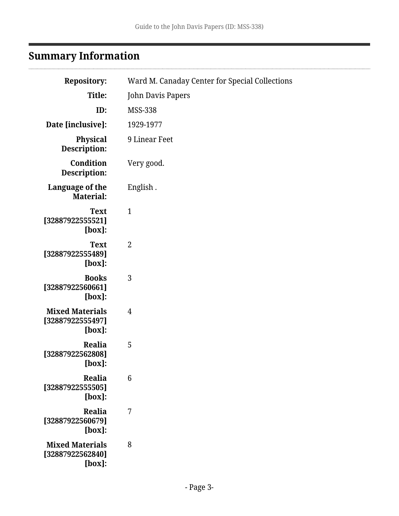# <span id="page-2-0"></span>**Summary Information**

| <b>Repository:</b>                                      | Ward M. Canaday Center for Special Collections |
|---------------------------------------------------------|------------------------------------------------|
| Title:                                                  | John Davis Papers                              |
| ID:                                                     | <b>MSS-338</b>                                 |
| Date [inclusive]:                                       | 1929-1977                                      |
| Physical<br>Description:                                | 9 Linear Feet                                  |
| Condition<br>Description:                               | Very good.                                     |
| Language of the<br><b>Material:</b>                     | English.                                       |
| <b>Text</b><br>[32887922555521]<br>$[box]$ :            | $\mathbf{1}$                                   |
| <b>Text</b><br>[32887922555489]<br>[box]:               | $\overline{2}$                                 |
| <b>Books</b><br>[32887922560661]<br>$[box]$ :           | 3                                              |
| <b>Mixed Materials</b><br>[32887922555497]<br>$[box]$ : | $\overline{4}$                                 |
| Realia<br>[32887922562808]<br>$[box]$ :                 | 5                                              |
| Realia<br>[32887922555505]<br>$[box]$ :                 | $6\phantom{1}6$                                |
| Realia<br>[32887922560679]<br>$[box]$ :                 | 7                                              |
| <b>Mixed Materials</b><br>[32887922562840]<br>[box]:    | 8                                              |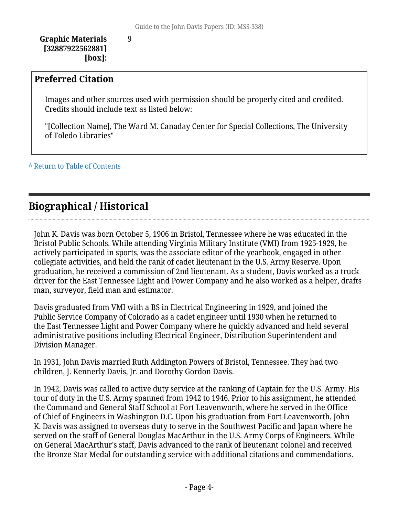**Graphic Materials [32887922562881] [box]:**

9

#### **Preferred Citation**

Images and other sources used with permission should be properly cited and credited. Credits should include text as listed below:

"[Collection Name], The Ward M. Canaday Center for Special Collections, The University of Toledo Libraries"

**^** [Return to Table of Contents](#page-1-0)

### <span id="page-3-0"></span>**Biographical / Historical**

John K. Davis was born October 5, 1906 in Bristol, Tennessee where he was educated in the Bristol Public Schools. While attending Virginia Military Institute (VMI) from 1925-1929, he actively participated in sports, was the associate editor of the yearbook, engaged in other collegiate activities, and held the rank of cadet lieutenant in the U.S. Army Reserve. Upon graduation, he received a commission of 2nd lieutenant. As a student, Davis worked as a truck driver for the East Tennessee Light and Power Company and he also worked as a helper, drafts man, surveyor, field man and estimator.

Davis graduated from VMI with a BS in Electrical Engineering in 1929, and joined the Public Service Company of Colorado as a cadet engineer until 1930 when he returned to the East Tennessee Light and Power Company where he quickly advanced and held several administrative positions including Electrical Engineer, Distribution Superintendent and Division Manager.

In 1931, John Davis married Ruth Addington Powers of Bristol, Tennessee. They had two children, J. Kennerly Davis, Jr. and Dorothy Gordon Davis.

In 1942, Davis was called to active duty service at the ranking of Captain for the U.S. Army. His tour of duty in the U.S. Army spanned from 1942 to 1946. Prior to his assignment, he attended the Command and General Staff School at Fort Leavenworth, where he served in the Office of Chief of Engineers in Washington D.C. Upon his graduation from Fort Leavenworth, John K. Davis was assigned to overseas duty to serve in the Southwest Pacific and Japan where he served on the staff of General Douglas MacArthur in the U.S. Army Corps of Engineers. While on General MacArthur's staff, Davis advanced to the rank of lieutenant colonel and received the Bronze Star Medal for outstanding service with additional citations and commendations.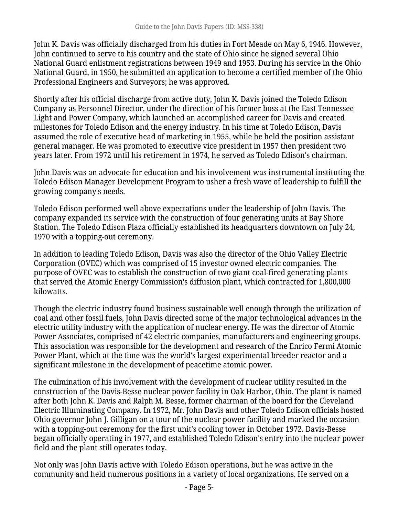John K. Davis was officially discharged from his duties in Fort Meade on May 6, 1946. However, John continued to serve to his country and the state of Ohio since he signed several Ohio National Guard enlistment registrations between 1949 and 1953. During his service in the Ohio National Guard, in 1950, he submitted an application to become a certified member of the Ohio Professional Engineers and Surveyors; he was approved.

Shortly after his official discharge from active duty, John K. Davis joined the Toledo Edison Company as Personnel Director, under the direction of his former boss at the East Tennessee Light and Power Company, which launched an accomplished career for Davis and created milestones for Toledo Edison and the energy industry. In his time at Toledo Edison, Davis assumed the role of executive head of marketing in 1955, while he held the position assistant general manager. He was promoted to executive vice president in 1957 then president two years later. From 1972 until his retirement in 1974, he served as Toledo Edison's chairman.

John Davis was an advocate for education and his involvement was instrumental instituting the Toledo Edison Manager Development Program to usher a fresh wave of leadership to fulfill the growing company's needs.

Toledo Edison performed well above expectations under the leadership of John Davis. The company expanded its service with the construction of four generating units at Bay Shore Station. The Toledo Edison Plaza officially established its headquarters downtown on July 24, 1970 with a topping-out ceremony.

In addition to leading Toledo Edison, Davis was also the director of the Ohio Valley Electric Corporation (OVEC) which was comprised of 15 investor owned electric companies. The purpose of OVEC was to establish the construction of two giant coal-fired generating plants that served the Atomic Energy Commission's diffusion plant, which contracted for 1,800,000 kilowatts.

Though the electric industry found business sustainable well enough through the utilization of coal and other fossil fuels, John Davis directed some of the major technological advances in the electric utility industry with the application of nuclear energy. He was the director of Atomic Power Associates, comprised of 42 electric companies, manufacturers and engineering groups. This association was responsible for the development and research of the Enrico Fermi Atomic Power Plant, which at the time was the world's largest experimental breeder reactor and a significant milestone in the development of peacetime atomic power.

The culmination of his involvement with the development of nuclear utility resulted in the construction of the Davis-Besse nuclear power facility in Oak Harbor, Ohio. The plant is named after both John K. Davis and Ralph M. Besse, former chairman of the board for the Cleveland Electric Illuminating Company. In 1972, Mr. John Davis and other Toledo Edison officials hosted Ohio governor John J. Gilligan on a tour of the nuclear power facility and marked the occasion with a topping-out ceremony for the first unit's cooling tower in October 1972. Davis-Besse began officially operating in 1977, and established Toledo Edison's entry into the nuclear power field and the plant still operates today.

Not only was John Davis active with Toledo Edison operations, but he was active in the community and held numerous positions in a variety of local organizations. He served on a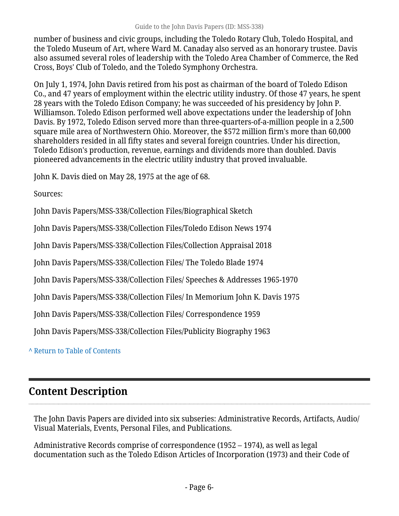number of business and civic groups, including the Toledo Rotary Club, Toledo Hospital, and the Toledo Museum of Art, where Ward M. Canaday also served as an honorary trustee. Davis also assumed several roles of leadership with the Toledo Area Chamber of Commerce, the Red Cross, Boys' Club of Toledo, and the Toledo Symphony Orchestra.

On July 1, 1974, John Davis retired from his post as chairman of the board of Toledo Edison Co., and 47 years of employment within the electric utility industry. Of those 47 years, he spent 28 years with the Toledo Edison Company; he was succeeded of his presidency by John P. Williamson. Toledo Edison performed well above expectations under the leadership of John Davis. By 1972, Toledo Edison served more than three-quarters-of-a-million people in a 2,500 square mile area of Northwestern Ohio. Moreover, the \$572 million firm's more than 60,000 shareholders resided in all fifty states and several foreign countries. Under his direction, Toledo Edison's production, revenue, earnings and dividends more than doubled. Davis pioneered advancements in the electric utility industry that proved invaluable.

John K. Davis died on May 28, 1975 at the age of 68.

Sources:

John Davis Papers/MSS-338/Collection Files/Biographical Sketch

John Davis Papers/MSS-338/Collection Files/Toledo Edison News 1974

John Davis Papers/MSS-338/Collection Files/Collection Appraisal 2018

John Davis Papers/MSS-338/Collection Files/ The Toledo Blade 1974

John Davis Papers/MSS-338/Collection Files/ Speeches & Addresses 1965-1970

John Davis Papers/MSS-338/Collection Files/ In Memorium John K. Davis 1975

John Davis Papers/MSS-338/Collection Files/ Correspondence 1959

John Davis Papers/MSS-338/Collection Files/Publicity Biography 1963

**^** [Return to Table of Contents](#page-1-0)

### <span id="page-5-0"></span>**Content Description**

The John Davis Papers are divided into six subseries: Administrative Records, Artifacts, Audio/ Visual Materials, Events, Personal Files, and Publications.

Administrative Records comprise of correspondence (1952 – 1974), as well as legal documentation such as the Toledo Edison Articles of Incorporation (1973) and their Code of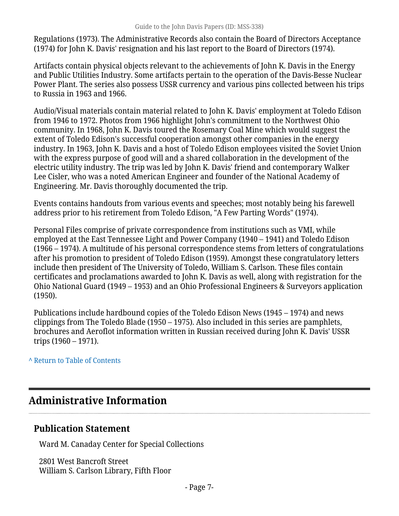Regulations (1973). The Administrative Records also contain the Board of Directors Acceptance (1974) for John K. Davis' resignation and his last report to the Board of Directors (1974).

Artifacts contain physical objects relevant to the achievements of John K. Davis in the Energy and Public Utilities Industry. Some artifacts pertain to the operation of the Davis-Besse Nuclear Power Plant. The series also possess USSR currency and various pins collected between his trips to Russia in 1963 and 1966.

Audio/Visual materials contain material related to John K. Davis' employment at Toledo Edison from 1946 to 1972. Photos from 1966 highlight John's commitment to the Northwest Ohio community. In 1968, John K. Davis toured the Rosemary Coal Mine which would suggest the extent of Toledo Edison's successful cooperation amongst other companies in the energy industry. In 1963, John K. Davis and a host of Toledo Edison employees visited the Soviet Union with the express purpose of good will and a shared collaboration in the development of the electric utility industry. The trip was led by John K. Davis' friend and contemporary Walker Lee Cisler, who was a noted American Engineer and founder of the National Academy of Engineering. Mr. Davis thoroughly documented the trip.

Events contains handouts from various events and speeches; most notably being his farewell address prior to his retirement from Toledo Edison, "A Few Parting Words" (1974).

Personal Files comprise of private correspondence from institutions such as VMI, while employed at the East Tennessee Light and Power Company (1940 – 1941) and Toledo Edison (1966 – 1974). A multitude of his personal correspondence stems from letters of congratulations after his promotion to president of Toledo Edison (1959). Amongst these congratulatory letters include then president of The University of Toledo, William S. Carlson. These files contain certificates and proclamations awarded to John K. Davis as well, along with registration for the Ohio National Guard (1949 – 1953) and an Ohio Professional Engineers & Surveyors application (1950).

Publications include hardbound copies of the Toledo Edison News (1945 – 1974) and news clippings from The Toledo Blade (1950 – 1975). Also included in this series are pamphlets, brochures and Aeroflot information written in Russian received during John K. Davis' USSR trips (1960 – 1971).

**^** [Return to Table of Contents](#page-1-0)

### <span id="page-6-0"></span>**Administrative Information**

### **Publication Statement**

Ward M. Canaday Center for Special Collections

2801 West Bancroft Street William S. Carlson Library, Fifth Floor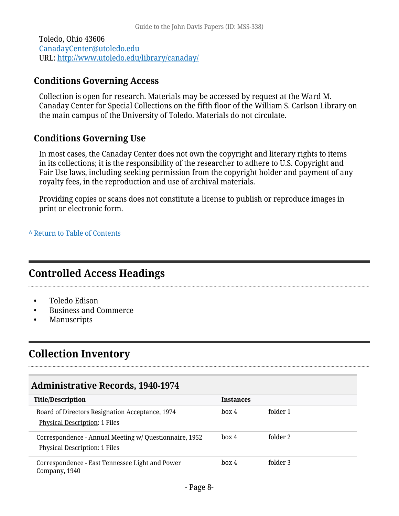Toledo, Ohio 43606 [CanadayCenter@utoledo.edu](mailto:CanadayCenter@utoledo.edu) URL:<http://www.utoledo.edu/library/canaday/>

### **Conditions Governing Access**

Collection is open for research. Materials may be accessed by request at the Ward M. Canaday Center for Special Collections on the fifth floor of the William S. Carlson Library on the main campus of the University of Toledo. Materials do not circulate.

### **Conditions Governing Use**

In most cases, the Canaday Center does not own the copyright and literary rights to items in its collections; it is the responsibility of the researcher to adhere to U.S. Copyright and Fair Use laws, including seeking permission from the copyright holder and payment of any royalty fees, in the reproduction and use of archival materials.

Providing copies or scans does not constitute a license to publish or reproduce images in print or electronic form.

**^** [Return to Table of Contents](#page-1-0)

### <span id="page-7-0"></span>**Controlled Access Headings**

- Toledo Edison
- Business and Commerce
- Manuscripts

### <span id="page-7-1"></span>**Collection Inventory**

### <span id="page-7-2"></span>**Administrative Records, 1940-1974**

| <b>Title/Description</b>                                                                       | <b>Instances</b> |          |
|------------------------------------------------------------------------------------------------|------------------|----------|
| Board of Directors Resignation Acceptance, 1974<br><b>Physical Description: 1 Files</b>        | box 4            | folder 1 |
| Correspondence - Annual Meeting w/ Questionnaire, 1952<br><b>Physical Description: 1 Files</b> | box 4            | folder 2 |
| Correspondence - East Tennessee Light and Power<br>Company, 1940                               | box 4            | folder 3 |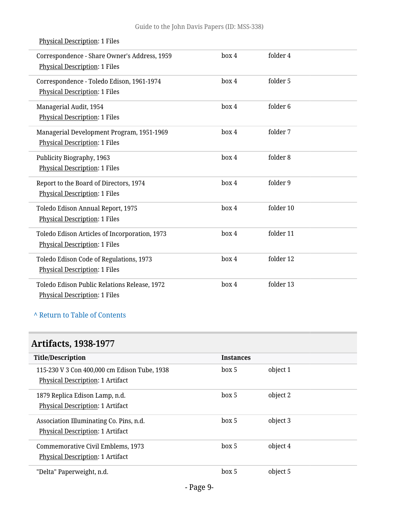| Correspondence - Share Owner's Address, 1959<br>Physical Description: 1 Files     | box 4 | folder 4            |
|-----------------------------------------------------------------------------------|-------|---------------------|
| Correspondence - Toledo Edison, 1961-1974<br><b>Physical Description: 1 Files</b> | box 4 | folder 5            |
| Managerial Audit, 1954<br>Physical Description: 1 Files                           | box 4 | folder <sub>6</sub> |
| Managerial Development Program, 1951-1969<br>Physical Description: 1 Files        | box 4 | folder 7            |
| Publicity Biography, 1963<br>Physical Description: 1 Files                        | box 4 | folder 8            |
| Report to the Board of Directors, 1974<br><b>Physical Description: 1 Files</b>    | box 4 | folder 9            |
| Toledo Edison Annual Report, 1975<br><b>Physical Description: 1 Files</b>         | box 4 | folder 10           |
| Toledo Edison Articles of Incorporation, 1973<br>Physical Description: 1 Files    | box 4 | folder 11           |
| Toledo Edison Code of Regulations, 1973<br><b>Physical Description: 1 Files</b>   | box 4 | folder 12           |
| Toledo Edison Public Relations Release, 1972<br>Physical Description: 1 Files     | box 4 | folder 13           |

#### Physical Description: 1 Files

### **^** [Return to Table of Contents](#page-1-0)

# <span id="page-8-0"></span>**Artifacts, 1938-1977**

| <b>Title/Description</b>                     | <b>Instances</b> |          |
|----------------------------------------------|------------------|----------|
| 115-230 V 3 Con 400,000 cm Edison Tube, 1938 | box 5            | object 1 |
| Physical Description: 1 Artifact             |                  |          |
| 1879 Replica Edison Lamp, n.d.               | box 5            | object 2 |
| Physical Description: 1 Artifact             |                  |          |
| Association Illuminating Co. Pins, n.d.      | box 5            | object 3 |
| Physical Description: 1 Artifact             |                  |          |
| Commemorative Civil Emblems, 1973            | box 5            | object 4 |
| Physical Description: 1 Artifact             |                  |          |
| "Delta" Paperweight, n.d.                    | box 5            | object 5 |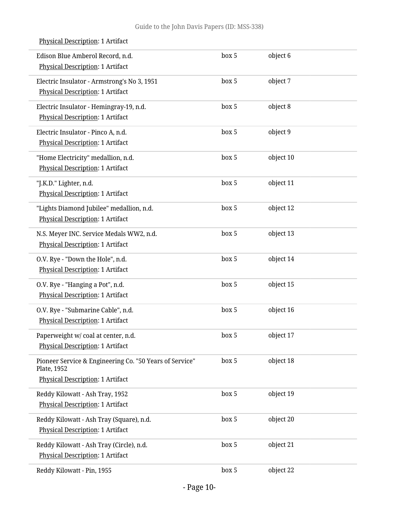| Edison Blue Amberol Record, n.d.<br>Physical Description: 1 Artifact                                       | box 5 | object 6  |  |
|------------------------------------------------------------------------------------------------------------|-------|-----------|--|
| Electric Insulator - Armstrong's No 3, 1951<br>Physical Description: 1 Artifact                            | box 5 | object 7  |  |
| Electric Insulator - Hemingray-19, n.d.<br>Physical Description: 1 Artifact                                | box 5 | object 8  |  |
| Electric Insulator - Pinco A, n.d.<br>Physical Description: 1 Artifact                                     | box 5 | object 9  |  |
| "Home Electricity" medallion, n.d.<br>Physical Description: 1 Artifact                                     | box 5 | object 10 |  |
| "J.K.D." Lighter, n.d.<br><b>Physical Description: 1 Artifact</b>                                          | box 5 | object 11 |  |
| "Lights Diamond Jubilee" medallion, n.d.<br>Physical Description: 1 Artifact                               | box 5 | object 12 |  |
| N.S. Meyer INC. Service Medals WW2, n.d.<br>Physical Description: 1 Artifact                               | box 5 | object 13 |  |
| O.V. Rye - "Down the Hole", n.d.<br>Physical Description: 1 Artifact                                       | box 5 | object 14 |  |
| O.V. Rye - "Hanging a Pot", n.d.<br>Physical Description: 1 Artifact                                       | box 5 | object 15 |  |
| O.V. Rye - "Submarine Cable", n.d.<br><b>Physical Description: 1 Artifact</b>                              | box 5 | object 16 |  |
| Paperweight w/ coal at center, n.d.<br>Physical Description: 1 Artifact                                    | box 5 | object 17 |  |
| Pioneer Service & Engineering Co. "50 Years of Service"<br>Plate, 1952<br>Physical Description: 1 Artifact | box 5 | object 18 |  |
| Reddy Kilowatt - Ash Tray, 1952<br>Physical Description: 1 Artifact                                        | box 5 | object 19 |  |
| Reddy Kilowatt - Ash Tray (Square), n.d.<br>Physical Description: 1 Artifact                               | box 5 | object 20 |  |
| Reddy Kilowatt - Ash Tray (Circle), n.d.<br>Physical Description: 1 Artifact                               | box 5 | object 21 |  |
| Reddy Kilowatt - Pin, 1955                                                                                 | box 5 | object 22 |  |

#### Physical Description: 1 Artifact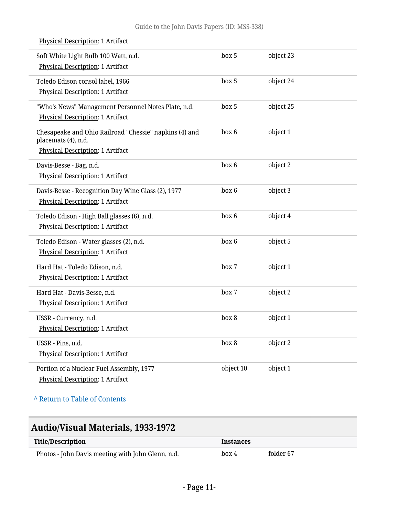| Soft White Light Bulb 100 Watt, n.d.<br><b>Physical Description: 1 Artifact</b>                                   | box 5     | object 23 |
|-------------------------------------------------------------------------------------------------------------------|-----------|-----------|
| Toledo Edison consol label, 1966<br><b>Physical Description: 1 Artifact</b>                                       | box 5     | object 24 |
| "Who's News" Management Personnel Notes Plate, n.d.<br>Physical Description: 1 Artifact                           | box 5     | object 25 |
| Chesapeake and Ohio Railroad "Chessie" napkins (4) and<br>placemats (4), n.d.<br>Physical Description: 1 Artifact | box 6     | object 1  |
| Davis-Besse - Bag, n.d.<br><b>Physical Description: 1 Artifact</b>                                                | box 6     | object 2  |
| Davis-Besse - Recognition Day Wine Glass (2), 1977<br><b>Physical Description: 1 Artifact</b>                     | box 6     | object 3  |
| Toledo Edison - High Ball glasses (6), n.d.<br><b>Physical Description: 1 Artifact</b>                            | box 6     | object 4  |
| Toledo Edison - Water glasses (2), n.d.<br>Physical Description: 1 Artifact                                       | box 6     | object 5  |
| Hard Hat - Toledo Edison, n.d.<br>Physical Description: 1 Artifact                                                | box 7     | object 1  |
| Hard Hat - Davis-Besse, n.d.<br>Physical Description: 1 Artifact                                                  | box 7     | object 2  |
| USSR - Currency, n.d.<br>Physical Description: 1 Artifact                                                         | box 8     | object 1  |
| USSR - Pins, n.d.<br><b>Physical Description: 1 Artifact</b>                                                      | box 8     | object 2  |
| Portion of a Nuclear Fuel Assembly, 1977<br>Physical Description: 1 Artifact                                      | object 10 | object 1  |

#### Physical Description: 1 Artifact

#### **^** [Return to Table of Contents](#page-1-0)

### <span id="page-10-0"></span>**Audio/Visual Materials, 1933-1972**

| Title/Description                                 | <i><u><b>Instances</b></u></i> |           |
|---------------------------------------------------|--------------------------------|-----------|
| Photos - John Davis meeting with John Glenn, n.d. | box 4                          | folder 67 |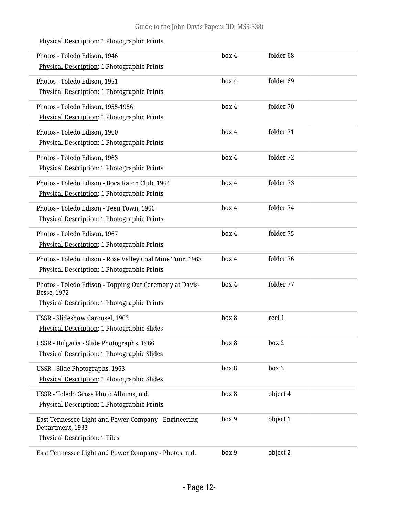| Photos - Toledo Edison, 1946<br>Physical Description: 1 Photographic Prints                                           | box 4 | folder 68 |  |
|-----------------------------------------------------------------------------------------------------------------------|-------|-----------|--|
| Photos - Toledo Edison, 1951<br>Physical Description: 1 Photographic Prints                                           | box 4 | folder 69 |  |
| Photos - Toledo Edison, 1955-1956<br>Physical Description: 1 Photographic Prints                                      | box 4 | folder 70 |  |
| Photos - Toledo Edison, 1960<br>Physical Description: 1 Photographic Prints                                           | box 4 | folder 71 |  |
| Photos - Toledo Edison, 1963<br>Physical Description: 1 Photographic Prints                                           | box 4 | folder 72 |  |
| Photos - Toledo Edison - Boca Raton Club, 1964<br>Physical Description: 1 Photographic Prints                         | box 4 | folder 73 |  |
| Photos - Toledo Edison - Teen Town, 1966<br>Physical Description: 1 Photographic Prints                               | box 4 | folder 74 |  |
| Photos - Toledo Edison, 1967<br>Physical Description: 1 Photographic Prints                                           | box 4 | folder 75 |  |
| Photos - Toledo Edison - Rose Valley Coal Mine Tour, 1968<br>Physical Description: 1 Photographic Prints              | box 4 | folder 76 |  |
| Photos - Toledo Edison - Topping Out Ceremony at Davis-<br>Besse, 1972<br>Physical Description: 1 Photographic Prints | box 4 | folder 77 |  |
| USSR - Slideshow Carousel, 1963<br>Physical Description: 1 Photographic Slides                                        | box 8 | reel 1    |  |
| USSR - Bulgaria - Slide Photographs, 1966<br><b>Physical Description: 1 Photographic Slides</b>                       | box 8 | box 2     |  |
| USSR - Slide Photographs, 1963<br>Physical Description: 1 Photographic Slides                                         | box 8 | box 3     |  |
| USSR - Toledo Gross Photo Albums, n.d.<br>Physical Description: 1 Photographic Prints                                 | box 8 | object 4  |  |
| East Tennessee Light and Power Company - Engineering<br>Department, 1933<br><b>Physical Description: 1 Files</b>      | box 9 | object 1  |  |
| East Tennessee Light and Power Company - Photos, n.d.                                                                 | box 9 | object 2  |  |

### Physical Description: 1 Photographic Prints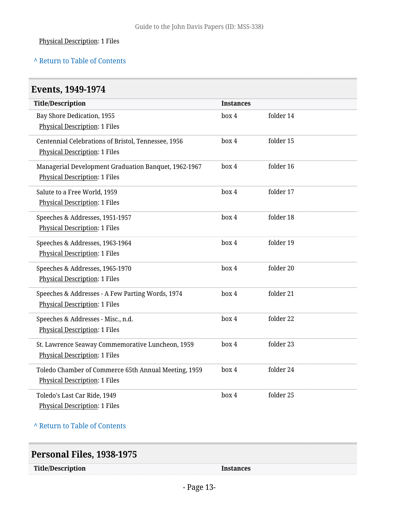#### Physical Description: 1 Files

#### **^** [Return to Table of Contents](#page-1-0)

<span id="page-12-0"></span>

| Events, 1949-1974                                                                            |                  |           |  |
|----------------------------------------------------------------------------------------------|------------------|-----------|--|
| <b>Title/Description</b>                                                                     | <b>Instances</b> |           |  |
| Bay Shore Dedication, 1955<br><b>Physical Description: 1 Files</b>                           | box 4            | folder 14 |  |
| Centennial Celebrations of Bristol, Tennessee, 1956<br><b>Physical Description: 1 Files</b>  | box 4            | folder 15 |  |
| Managerial Development Graduation Banquet, 1962-1967<br><b>Physical Description: 1 Files</b> | box 4            | folder 16 |  |
| Salute to a Free World, 1959<br><b>Physical Description: 1 Files</b>                         | box 4            | folder 17 |  |
| Speeches & Addresses, 1951-1957<br><b>Physical Description: 1 Files</b>                      | box 4            | folder 18 |  |
| Speeches & Addresses, 1963-1964<br><b>Physical Description: 1 Files</b>                      | box 4            | folder 19 |  |
| Speeches & Addresses, 1965-1970<br><b>Physical Description: 1 Files</b>                      | box 4            | folder 20 |  |
| Speeches & Addresses - A Few Parting Words, 1974<br><b>Physical Description: 1 Files</b>     | box 4            | folder 21 |  |
| Speeches & Addresses - Misc., n.d.<br><b>Physical Description: 1 Files</b>                   | box 4            | folder 22 |  |
| St. Lawrence Seaway Commemorative Luncheon, 1959<br><b>Physical Description: 1 Files</b>     | box 4            | folder 23 |  |
| Toledo Chamber of Commerce 65th Annual Meeting, 1959<br><b>Physical Description: 1 Files</b> | box 4            | folder 24 |  |
| Toledo's Last Car Ride, 1949<br><b>Physical Description: 1 Files</b>                         | box 4            | folder 25 |  |

#### **^** [Return to Table of Contents](#page-1-0)

# <span id="page-12-1"></span>**Personal Files, 1938-1975 Title/Description Instances**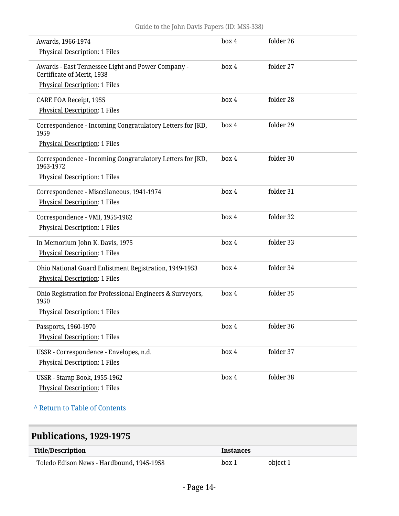| Awards, 1966-1974<br><b>Physical Description: 1 Files</b>                                                               | box 4 | folder 26 |  |
|-------------------------------------------------------------------------------------------------------------------------|-------|-----------|--|
| Awards - East Tennessee Light and Power Company -<br>Certificate of Merit, 1938<br><b>Physical Description: 1 Files</b> | box 4 | folder 27 |  |
| CARE FOA Receipt, 1955<br><b>Physical Description: 1 Files</b>                                                          | box 4 | folder 28 |  |
| Correspondence - Incoming Congratulatory Letters for JKD,<br>1959<br><b>Physical Description: 1 Files</b>               | box 4 | folder 29 |  |
| Correspondence - Incoming Congratulatory Letters for JKD,<br>1963-1972<br><b>Physical Description: 1 Files</b>          | box 4 | folder 30 |  |
| Correspondence - Miscellaneous, 1941-1974<br><b>Physical Description: 1 Files</b>                                       | box 4 | folder 31 |  |
| Correspondence - VMI, 1955-1962<br><b>Physical Description: 1 Files</b>                                                 | box 4 | folder 32 |  |
| In Memorium John K. Davis, 1975<br><b>Physical Description: 1 Files</b>                                                 | box 4 | folder 33 |  |
| Ohio National Guard Enlistment Registration, 1949-1953<br><b>Physical Description: 1 Files</b>                          | box 4 | folder 34 |  |
| Ohio Registration for Professional Engineers & Surveyors,<br>1950<br><b>Physical Description: 1 Files</b>               | box 4 | folder 35 |  |
| Passports, 1960-1970<br><b>Physical Description: 1 Files</b>                                                            | box 4 | folder 36 |  |
| USSR - Correspondence - Envelopes, n.d.<br><b>Physical Description: 1 Files</b>                                         | box 4 | folder 37 |  |
| <b>USSR</b> - Stamp Book, 1955-1962<br><b>Physical Description: 1 Files</b>                                             | box 4 | folder 38 |  |

**^** [Return to Table of Contents](#page-1-0)

# <span id="page-13-0"></span>**Publications, 1929-1975**

| Title/Description                         | <b>Instances</b> |          |
|-------------------------------------------|------------------|----------|
| Toledo Edison News - Hardbound, 1945-1958 | box 1            | object 1 |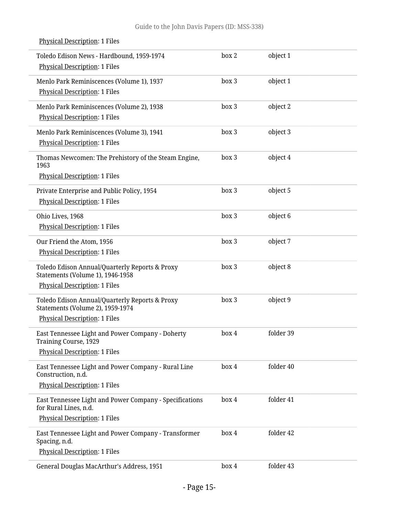| Toledo Edison News - Hardbound, 1959-1974<br><b>Physical Description: 1 Files</b>                                          | box 2 | object 1  |  |
|----------------------------------------------------------------------------------------------------------------------------|-------|-----------|--|
| Menlo Park Reminiscences (Volume 1), 1937<br><b>Physical Description: 1 Files</b>                                          | box 3 | object 1  |  |
| Menlo Park Reminiscences (Volume 2), 1938<br><b>Physical Description: 1 Files</b>                                          | box 3 | object 2  |  |
| Menlo Park Reminiscences (Volume 3), 1941<br><b>Physical Description: 1 Files</b>                                          | box 3 | object 3  |  |
| Thomas Newcomen: The Prehistory of the Steam Engine,<br>1963<br><b>Physical Description: 1 Files</b>                       | box 3 | object 4  |  |
| Private Enterprise and Public Policy, 1954<br><b>Physical Description: 1 Files</b>                                         | box 3 | object 5  |  |
| Ohio Lives, 1968<br><b>Physical Description: 1 Files</b>                                                                   | box 3 | object 6  |  |
| Our Friend the Atom, 1956<br><b>Physical Description: 1 Files</b>                                                          | box 3 | object 7  |  |
| Toledo Edison Annual/Quarterly Reports & Proxy<br>Statements (Volume 1), 1946-1958<br><b>Physical Description: 1 Files</b> | box 3 | object 8  |  |
| Toledo Edison Annual/Quarterly Reports & Proxy<br>Statements (Volume 2), 1959-1974<br><b>Physical Description: 1 Files</b> | box 3 | object 9  |  |
| East Tennessee Light and Power Company - Doherty<br><b>Training Course, 1929</b><br><b>Physical Description: 1 Files</b>   | box 4 | folder 39 |  |
| East Tennessee Light and Power Company - Rural Line<br>Construction, n.d.<br><b>Physical Description: 1 Files</b>          | box 4 | folder 40 |  |
| East Tennessee Light and Power Company - Specifications<br>for Rural Lines, n.d.<br><b>Physical Description: 1 Files</b>   | box 4 | folder 41 |  |
| East Tennessee Light and Power Company - Transformer<br>Spacing, n.d.<br><b>Physical Description: 1 Files</b>              | box 4 | folder 42 |  |
| General Douglas MacArthur's Address, 1951                                                                                  | box 4 | folder 43 |  |

### Physical Description: 1 Files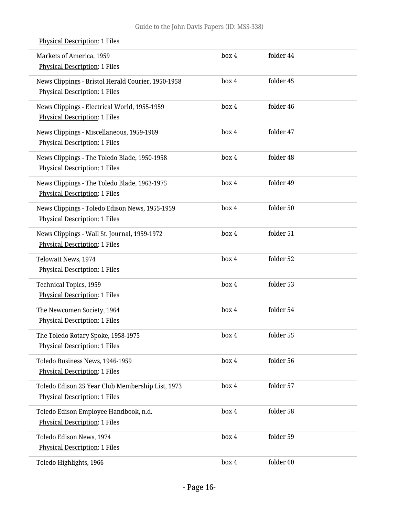Markets of America, 1959 Physical Description: 1 Files box 4 folder 44 News Clippings - Bristol Herald Courier, 1950-1958 Physical Description: 1 Files box 4 folder 45 News Clippings - Electrical World, 1955-1959 Physical Description: 1 Files box 4 folder 46 News Clippings - Miscellaneous, 1959-1969 Physical Description: 1 Files box 4 folder 47 News Clippings - The Toledo Blade, 1950-1958 Physical Description: 1 Files box 4 folder 48 News Clippings - The Toledo Blade, 1963-1975 Physical Description: 1 Files box 4 folder 49 News Clippings - Toledo Edison News, 1955-1959 Physical Description: 1 Files box 4 folder 50 News Clippings - Wall St. Journal, 1959-1972 Physical Description: 1 Files box 4 folder 51 Telowatt News, 1974 Physical Description: 1 Files box 4 folder 52 Technical Topics, 1959 Physical Description: 1 Files box 4 folder 53 The Newcomen Society, 1964 Physical Description: 1 Files box 4 folder 54 The Toledo Rotary Spoke, 1958-1975 Physical Description: 1 Files box 4 folder 55 Toledo Business News, 1946-1959 Physical Description: 1 Files box 4 folder 56 Toledo Edison 25 Year Club Membership List, 1973 Physical Description: 1 Files box 4 folder 57 Toledo Edison Employee Handbook, n.d. Physical Description: 1 Files box 4 folder 58 Toledo Edison News, 1974 Physical Description: 1 Files box 4 folder 59 Toledo Highlights, 1966 **box 4** folder 60